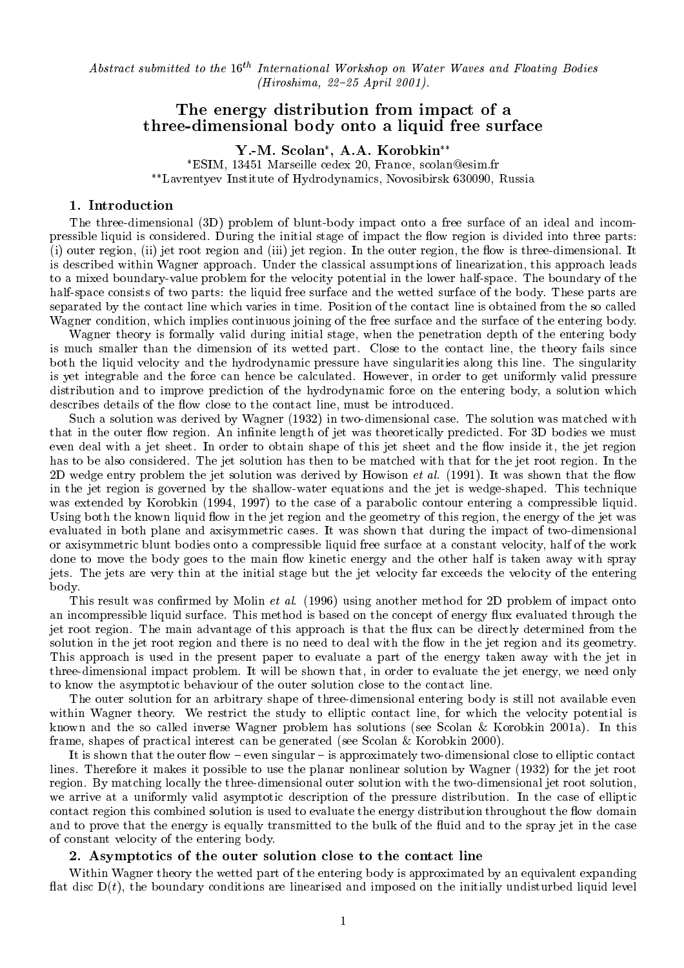Abstract submitted to the  $16^{th}$  International Workshop on Water Waves and Floating Bodies  $(Hiroshima, 22-25 April 2001).$ 

# The energy distribution from impactof <sup>a</sup> three-dimensional body onto <sup>a</sup> liquid free surface

Y.-M. Scolan , A.A. Korobkin ESIM, 13451 Marseille cedex 20, France, scolan@esim.fr Lavrentyev Institute of Hydrodynamics, Novosibirsk 630090, Russia

#### 1. Introduction

The three-dimensional (3D) problem of blunt-body impact onto a free surface of an ideal and incompressible liquid is considered. During the initial stage of impact the flow region is divided into three parts:  $(i)$  outer region, (ii) jet root region and (iii) jet region. In the outer region, the flow is three-dimensional. It is described within Wagner approach. Under the classical assumptions of linearization, this approach leads to a mixed boundary-value problem for the velocity potential in the lower half-space. The boundary of the half-space consists of two parts: the liquid free surface and the wetted surface of the body. These parts are separated by the contact line which varies in time. Position of the contact line is obtained from the so called Wagner condition, which implies continuous joining of the free surface and the surface of the entering body.

Wagner theory is formally valid during initial stage, when the penetration depth of the entering body is much smaller than the dimension of its wetted part. Close to the contact line, the theory fails since both the liquid velocity and the hydrodynamic pressure have singularities along this line. The singularity is yet integrable and the force can hence be calculated. However, in order to get uniformly valid pressure distribution and to improve prediction of the hydrodynamic force on the entering body, a solution which describes details of the flow close to the contact line, must be introduced.

Such a solution was derived by Wagner (1932) in two-dimensional case. The solution was matched with that in the outer flow region. An infinite length of jet was theoretically predicted. For 3D bodies we must even deal with a jet sheet. In order to obtain shape of this jet sheet and the flow inside it, the jet region has to be also considered. The jet solution has then to be matched with that for the jet root region. In the 2D wedge entry problem the jet solution was derived by Howison *et al.* (1991). It was shown that the flow in the jet region is governed by the shallow-water equations and the jet is wedge-shaped. This technique was extended by Korobkin (1994, 1997) to the case of a parabolic contour entering a compressible liquid. Using both the known liquid flow in the jet region and the geometry of this region, the energy of the jet was evaluated in both plane and axisymmetric cases. It was shown that during the impact of two-dimensional or axisymmetric blunt bodies onto a compressible liquid free surface at a constant velocity, half of the work done to move the body goes to the main flow kinetic energy and the other half is taken away with spray jets. The jets are very thin at the initial stage but the jet velocity far exceeds the velocity of the entering body.

This result was confirmed by Molin *et al.* (1996) using another method for 2D problem of impact onto an incompressible liquid surface. This method is based on the concept of energy flux evaluated through the jet root region. The main advantage of this approach is that the ux can be directly determined from the solution in the jet root region and there is no need to deal with the flow in the jet region and its geometry. This approach is used in the present paper to evaluate a part of the energy taken away with the jet in three-dimensional impact problem. It will be shown that, in order to evaluate the jet energy, we need only to know the asymptotic behaviour of the outer solution close to the contact line.

The outer solution for an arbitrary shape of three-dimensional entering body is still not available even within Wagner theory. We restrict the study to elliptic contact line, for which the velocity potential is known and the so called inverse Wagner problem has solutions (see Scolan & Korobkin 2001a). In this frame, shapes of practical interest can be generated (see Scolan & Korobkin 2000).

It is shown that the outer flow  $-$  even singular  $-$  is approximately two-dimensional close to elliptic contact lines. Therefore it makes it possible to use the planar nonlinear solution by Wagner (1932) for the jet root region. By matching locally the three-dimensional outer solution with the two-dimensional jet root solution, we arrive at a uniformly valid asymptotic description of the pressure distribution. In the case of elliptic contact region this combined solution is used to evaluate the energy distribution throughout the flow domain and to prove that the energy is equally transmitted to the bulk of the fluid and to the spray jet in the case of constant velocity of the entering body.

### 2. Asymptotics of the outer solution close to the contact line

Within Wagner theory the wetted part of the entering body is approximated by an equivalent expanding flat disc  $D(t)$ , the boundary conditions are linearised and imposed on the initially undisturbed liquid level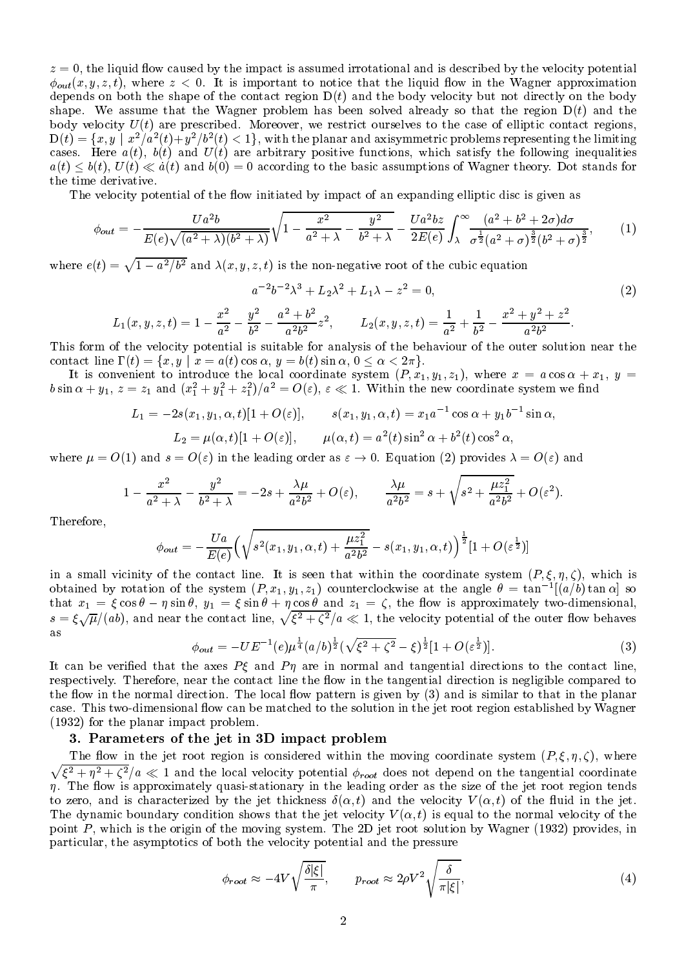$z = 0$ , the liquid flow caused by the impact is assumed irrotational and is described by the velocity potential  $\phi_{out}(x, y, z, t)$ , where  $z < 0$ . It is important to notice that the liquid flow in the Wagner approximation depends on both the shape of the contact region  $D(t)$  and the body velocity but not directly on the body shape. We assume that the Wagner problem has been solved already so that the region  $D(t)$  and the body velocity  $U(t)$  are prescribed. Moreover, we restrict ourselves to the case of elliptic contact regions,  $\mathrm{D}(t)=\{x,y\mid x^2/a^2(t)+y^2/b^2(t)<1\},$  with the planar and axisymmetric problems representing the limiting cases. Here  $a(t)$ ,  $b(t)$  and  $U(t)$  are arbitrary positive functions, which satisfy the following inequalities  $a(t) \leq b(t)$ ,  $U(t) \leq a(t)$  and  $b(0) = 0$  according to the basic assumptions of Wagner theory. Dot stands for the time derivative.

The velocity potential of the flow initiated by impact of an expanding elliptic disc is given as

$$
\phi_{out} = -\frac{Ua^2b}{E(e)\sqrt{(a^2 + \lambda)(b^2 + \lambda)}}\sqrt{1 - \frac{x^2}{a^2 + \lambda} - \frac{y^2}{b^2 + \lambda}} - \frac{Ua^2bz}{2E(e)}\int_{\lambda}^{\infty} \frac{(a^2 + b^2 + 2\sigma)d\sigma}{\sigma^{\frac{1}{2}}(a^2 + \sigma)^{\frac{3}{2}}(b^2 + \sigma)^{\frac{3}{2}}},\tag{1}
$$

where  $e(t) = \sqrt{1 - a^2/b^2}$  and  $\lambda(x, y, z, t)$  is the non-negative root of the cubic equation

$$
a^{-2}b^{-2}\lambda^3 + L_2\lambda^2 + L_1\lambda - z^2 = 0,
$$
\t(2)

$$
L_1(x, y, z, t) = 1 - \frac{x^2}{a^2} - \frac{y^2}{b^2} - \frac{a^2 + b^2}{a^2 b^2} z^2, \qquad L_2(x, y, z, t) = \frac{1}{a^2} + \frac{1}{b^2} - \frac{x^2 + y^2 + z^2}{a^2 b^2}.
$$

This form of the velocity potential is suitable for analysis of the behaviour of the outer solution near the contact line  $\Gamma(t) = \{x, y \mid x = a(t) \cos \alpha, y = b(t) \sin \alpha, 0 \le \alpha < 2\pi\}.$ 

It is convenient to introduce the local coordinate system (P; x1; y1; z1), where x = a cos + x1,y = bsin  $\alpha + y_1$ ,  $z = z_1$  and  $(x_1^2 + y_1^2 + z_1^2)/a^2 = O(\varepsilon)$ ,  $\varepsilon \ll 1$ . Within the new coordinate system we find

$$
L_1 = -2s(x_1, y_1, \alpha, t)[1 + O(\varepsilon)], \qquad s(x_1, y_1, \alpha, t) = x_1 a^{-1} \cos \alpha + y_1 b^{-1} \sin \alpha,
$$
  

$$
L_2 = \mu(\alpha, t)[1 + O(\varepsilon)], \qquad \mu(\alpha, t) = a^2(t) \sin^2 \alpha + b^2(t) \cos^2 \alpha,
$$

where  $\mu = O(1)$  and  $s = O(\varepsilon)$  in the leading order as  $\varepsilon \to 0$ . Equation (2) provides  $\lambda = O(\varepsilon)$  and

$$
1-\frac{x^2}{a^2+\lambda}-\frac{y^2}{b^2+\lambda}=-2s+\frac{\lambda\mu}{a^2b^2}+O(\varepsilon),\qquad \frac{\lambda\mu}{a^2b^2}=s+\sqrt{s^2+\frac{\mu z_1^2}{a^2b^2}}+O(\varepsilon^2).
$$

Therefore,

$$
\phi_{out}=-\frac{Ua}{E(e)}\Big(\sqrt{s^2(x_1,y_1,\alpha,t)+\frac{\mu z_1^2}{a^2b^2}}-s(x_1,y_1,\alpha,t)\Big)^{\frac{1}{2}}[1+O(\varepsilon^{\frac{1}{2}})]
$$

in a small vicinity of the contact line. It is seen that within the coordinate system (P; ; ; ), which is obtained by rotation of the system  $(P, x_1, y_1, z_1)$  counterclockwise at the angle  $\sigma = \tan^{-1}(a/\sigma)$  tan  $\alpha$  so that  $x_1 = \zeta \cos \theta - \eta \sin \theta$ ,  $y_1 = \zeta \sin \theta + \eta \cos \theta$  and  $z_1 = \zeta$ , the now is approximately two-dimensional,  $s=\xi\sqrt{\mu}/(ab)$ , and near the contact line,  $\sqrt{\xi^2+\zeta^2}/a\ll 1$ , the velocity potential of the outer flow behaves

$$
\phi_{out} = -UE^{-1}(e)\mu^{\frac{1}{4}}(a/b)^{\frac{1}{2}}(\sqrt{\xi^2 + \zeta^2} - \xi)^{\frac{1}{2}}[1 + O(\varepsilon^{\frac{1}{2}})].
$$
\n(3)

It can be verified that the axes  $P\xi$  and  $P\eta$  are in normal and tangential directions to the contact line, respectively. Therefore, near the contact line the flow in the tangential direction is negligible compared to the flow in the normal direction. The local flow pattern is given by  $(3)$  and is similar to that in the planar case. This two-dimensional flow can be matched to the solution in the jet root region established by Wagner (1932) for the planar impact problem.

### 3. Parameters of the jet in 3D impact problem

 $\sqrt{\xi^2 + \eta^2 + \zeta^2}/a \ll 1$  and the local velocity potential  $\phi_{root}$  does not depend on the tangential coordinate The flow in the jet root region is considered within the moving coordinate system  $(P, \xi, \eta, \zeta)$ , where  $\eta$ . The flow is approximately quasi-stationary in the leading order as the size of the jet root region tends to zero, and is characterized by the jet thickness  $\delta(\alpha, t)$  and the velocity  $V(\alpha, t)$  of the fluid in the jet. The dynamic boundary condition shows that the jet velocity  $V(\alpha, t)$  is equal to the normal velocity of the point  $P$ , which is the origin of the moving system. The 2D jet root solution by Wagner (1932) provides, in particular, the asymptotics of both the velocity potential and the pressure

$$
\phi_{root} \approx -4V \sqrt{\frac{\delta |\xi|}{\pi}}, \qquad p_{root} \approx 2\rho V^2 \sqrt{\frac{\delta}{\pi |\xi|}},\tag{4}
$$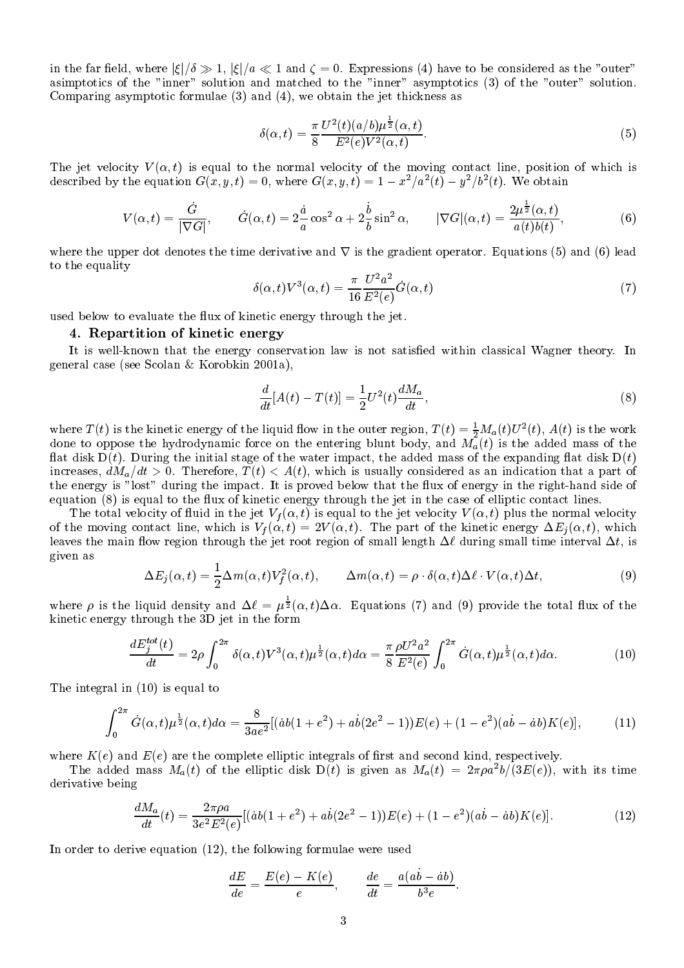in the far field, where  $|\xi|/\delta \gg 1$ ,  $|\xi|/a \ll 1$  and  $\zeta = 0$ . Expressions (4) have to be considered as the "outer" asimptotics of the "inner" solution and matched to the "inner" asymptotics (3) of the "outer" solution. Comparing asymptotic formulae (3) and (4), we obtain the jet thickness as

$$
\delta(\alpha, t) = \frac{\pi}{8} \frac{U^2(t)(a/b)\mu^{\frac{1}{2}}(\alpha, t)}{E^2(e)V^2(\alpha, t)}.
$$
\n
$$
(5)
$$

The jet velocity  $V(\alpha, t)$  is equal to the normal velocity of the moving contact line, position of which is described by the equation  $G(x, y, t) = 0$ , where  $G(x, y, t) = 1 - x^2/a^2(t) - y^2/b^2(t)$ . We obtain

$$
V(\alpha, t) = \frac{\dot{G}}{|\nabla G|}, \qquad \dot{G}(\alpha, t) = 2\frac{\dot{a}}{a}\cos^2\alpha + 2\frac{\dot{b}}{b}\sin^2\alpha, \qquad |\nabla G|(\alpha, t) = \frac{2\mu^{\frac{1}{2}}(\alpha, t)}{a(t)b(t)},\tag{6}
$$

where the upper dot denotes the time derivative and  $\nabla$  is the gradient operator. Equations (5) and (6) lead to the equality

$$
\delta(\alpha, t)V^3(\alpha, t) = \frac{\pi}{16} \frac{U^2 a^2}{E^2(e)} \dot{G}(\alpha, t)
$$
\n<sup>(7)</sup>

used below to evaluate the flux of kinetic energy through the jet.

#### 4. Repartition of kinetic energy

It is well-known that the energy conservation law is not satisfied within classical Wagner theory. In general case (see Scolan & Korobkin 2001a),

$$
\frac{d}{dt}[A(t) - T(t)] = \frac{1}{2}U^2(t)\frac{dM_a}{dt},
$$
\n(8)

where  $T(t)$  is the kinetic energy of the liquid flow in the outer region,  $T(t) = \frac{1}{2} M_a(t) U^*(t)$ ,  $A(t)$  is the work done to oppose the hydrodynamic force on the entering blunt body, and Ma(t) is the added mass of the flat disk  $D(t)$ . During the initial stage of the water impact, the added mass of the expanding flat disk  $D(t)$ increases,  $dM_a/dt > 0$ . Therefore,  $T(t) < A(t)$ , which is usually considered as an indication that a part of the energy is "lost" during the impact. It is proved below that the flux of energy in the right-hand side of equation  $(8)$  is equal to the flux of kinetic energy through the jet in the case of elliptic contact lines.

The total velocity of fluid in the jet  $V_f(\alpha, t)$  is equal to the jet velocity  $V(\alpha, t)$  plus the normal velocity of the moving contact line, which is  $V_f(\alpha, t) = 2V(\alpha, t)$ . The part of the kinetic energy  $\Delta E_i(\alpha, t)$ , which leaves the main flow region through the jet root region of small length  $\Delta\ell$  during small time interval  $\Delta t$ , is given as

$$
\Delta E_j(\alpha, t) = \frac{1}{2} \Delta m(\alpha, t) V_f^2(\alpha, t), \qquad \Delta m(\alpha, t) = \rho \cdot \delta(\alpha, t) \Delta \ell \cdot V(\alpha, t) \Delta t, \tag{9}
$$

where  $\rho$  is the liquid density and  $\Delta \ell = \mu^{\frac{1}{2}}(\alpha, t) \Delta \alpha$ . Equations (7) and (9) provide the total flux of the kinetic energy through the 3D jet in the form

$$
\frac{dE_j^{tot}(t)}{dt} = 2\rho \int_0^{2\pi} \delta(\alpha, t) V^3(\alpha, t) \mu^{\frac{1}{2}}(\alpha, t) d\alpha = \frac{\pi}{8} \frac{\rho U^2 a^2}{E^2(e)} \int_0^{2\pi} \dot{G}(\alpha, t) \mu^{\frac{1}{2}}(\alpha, t) d\alpha.
$$
 (10)

The integral in (10) is equal to

$$
\int_0^{2\pi} \dot{G}(\alpha, t) \mu^{\frac{1}{2}}(\alpha, t) d\alpha = \frac{8}{3ae^2} [(\dot{a}b(1+e^2) + a\dot{b}(2e^2 - 1))E(e) + (1 - e^2)(a\dot{b} - \dot{a}b)K(e)], \tag{11}
$$

where  $K(e)$  and  $E(e)$  are the complete elliptic integrals of first and second kind, respectively.

The added mass  $M_a(t)$  of the elliptic disk  $D(t)$  is given as  $M_a(t) = 2\pi \rho a^2 b/(3E(e))$ , with its time derivative being

$$
\frac{dM_a}{dt}(t) = \frac{2\pi \rho a}{3e^2 E^2(e)} [(ab(1+e^2) + ab(2e^2 - 1))E(e) + (1 - e^2)(a\dot{b} - \dot{a}b)K(e)].
$$
\n(12)

In order to derive equation (12), the following formulae were used

$$
\frac{dE}{de} = \frac{E(e) - K(e)}{e}, \qquad \frac{de}{dt} = \frac{a(ab - ab)}{b^3 e}.
$$